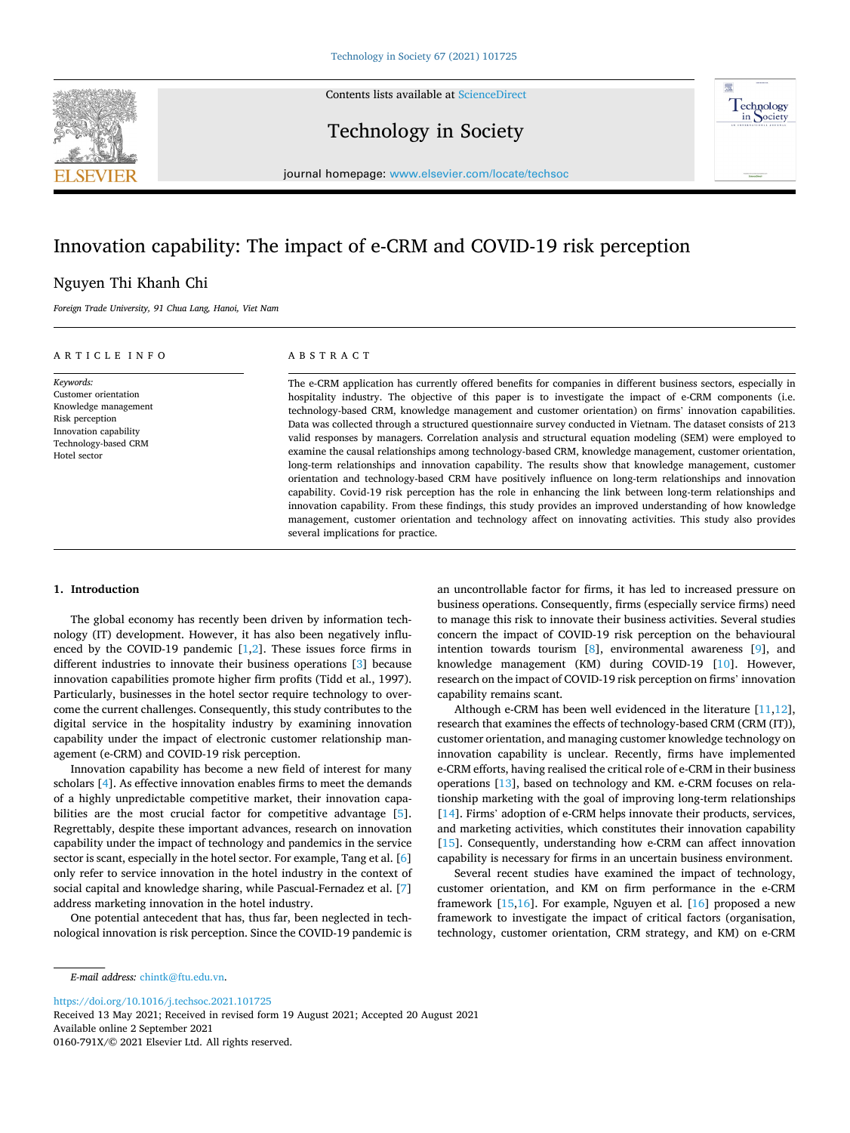Contents lists available at [ScienceDirect](www.sciencedirect.com/science/journal/0160791X)



Technology in Society



journal homepage: [www.elsevier.com/locate/techsoc](https://www.elsevier.com/locate/techsoc) 

# Innovation capability: The impact of e-CRM and COVID-19 risk perception

# Nguyen Thi Khanh Chi

*Foreign Trade University, 91 Chua Lang, Hanoi, Viet Nam* 

## ARTICLE INFO

*Keywords:*  Customer orientation Knowledge management Risk perception Innovation capability Technology-based CRM Hotel sector

# ABSTRACT

The e-CRM application has currently offered benefits for companies in different business sectors, especially in hospitality industry. The objective of this paper is to investigate the impact of e-CRM components (i.e. technology-based CRM, knowledge management and customer orientation) on firms' innovation capabilities. Data was collected through a structured questionnaire survey conducted in Vietnam. The dataset consists of 213 valid responses by managers. Correlation analysis and structural equation modeling (SEM) were employed to examine the causal relationships among technology-based CRM, knowledge management, customer orientation, long-term relationships and innovation capability. The results show that knowledge management, customer orientation and technology-based CRM have positively influence on long-term relationships and innovation capability. Covid-19 risk perception has the role in enhancing the link between long-term relationships and innovation capability. From these findings, this study provides an improved understanding of how knowledge management, customer orientation and technology affect on innovating activities. This study also provides several implications for practice.

#### **1. Introduction**

The global economy has recently been driven by information technology (IT) development. However, it has also been negatively influenced by the COVID-19 pandemic  $[1,2]$  $[1,2]$  $[1,2]$ . These issues force firms in different industries to innovate their business operations [[3](#page-7-0)] because innovation capabilities promote higher firm profits (Tidd et al., 1997). Particularly, businesses in the hotel sector require technology to overcome the current challenges. Consequently, this study contributes to the digital service in the hospitality industry by examining innovation capability under the impact of electronic customer relationship management (e-CRM) and COVID-19 risk perception.

Innovation capability has become a new field of interest for many scholars [[4](#page-7-0)]. As effective innovation enables firms to meet the demands of a highly unpredictable competitive market, their innovation capa-bilities are the most crucial factor for competitive advantage [[5](#page-7-0)]. Regrettably, despite these important advances, research on innovation capability under the impact of technology and pandemics in the service sector is scant, especially in the hotel sector. For example, Tang et al. [[6](#page-7-0)] only refer to service innovation in the hotel industry in the context of social capital and knowledge sharing, while Pascual-Fernadez et al. [[7](#page-7-0)] address marketing innovation in the hotel industry.

One potential antecedent that has, thus far, been neglected in technological innovation is risk perception. Since the COVID-19 pandemic is an uncontrollable factor for firms, it has led to increased pressure on business operations. Consequently, firms (especially service firms) need to manage this risk to innovate their business activities. Several studies concern the impact of COVID-19 risk perception on the behavioural intention towards tourism [[8](#page-7-0)], environmental awareness [\[9\]](#page-7-0), and knowledge management (KM) during COVID-19 [[10\]](#page-7-0). However, research on the impact of COVID-19 risk perception on firms' innovation capability remains scant.

Although e-CRM has been well evidenced in the literature [[11,12](#page-7-0)], research that examines the effects of technology-based CRM (CRM (IT)), customer orientation, and managing customer knowledge technology on innovation capability is unclear. Recently, firms have implemented e-CRM efforts, having realised the critical role of e-CRM in their business operations [[13\]](#page-7-0), based on technology and KM. e-CRM focuses on relationship marketing with the goal of improving long-term relationships [[14\]](#page-7-0). Firms' adoption of e-CRM helps innovate their products, services, and marketing activities, which constitutes their innovation capability [[15\]](#page-7-0). Consequently, understanding how e-CRM can affect innovation capability is necessary for firms in an uncertain business environment.

Several recent studies have examined the impact of technology, customer orientation, and KM on firm performance in the e-CRM framework [\[15](#page-7-0),[16\]](#page-7-0). For example, Nguyen et al. [\[16](#page-7-0)] proposed a new framework to investigate the impact of critical factors (organisation, technology, customer orientation, CRM strategy, and KM) on e-CRM

<https://doi.org/10.1016/j.techsoc.2021.101725>

Available online 2 September 2021 0160-791X/© 2021 Elsevier Ltd. All rights reserved. Received 13 May 2021; Received in revised form 19 August 2021; Accepted 20 August 2021

*E-mail address:* [chintk@ftu.edu.vn](mailto:chintk@ftu.edu.vn).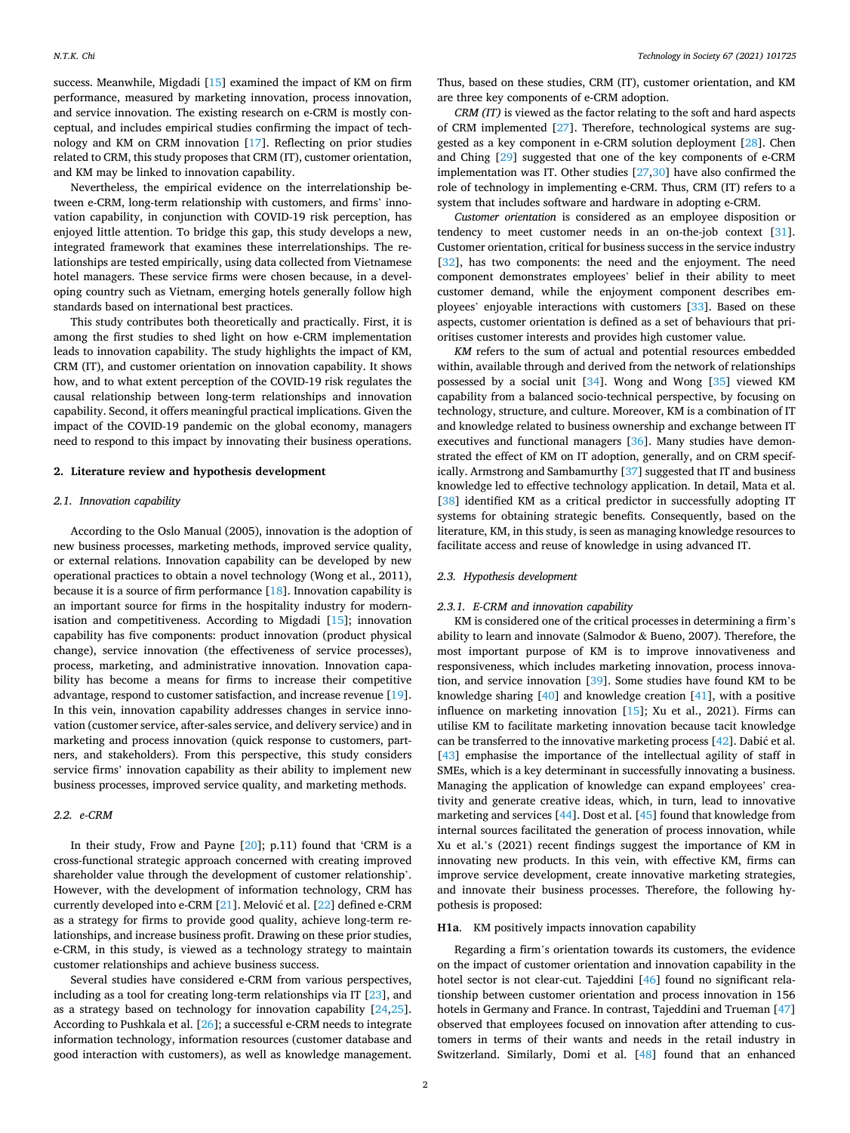success. Meanwhile, Migdadi [\[15](#page-7-0)] examined the impact of KM on firm performance, measured by marketing innovation, process innovation, and service innovation. The existing research on e-CRM is mostly conceptual, and includes empirical studies confirming the impact of technology and KM on CRM innovation [\[17](#page-7-0)]. Reflecting on prior studies related to CRM, this study proposes that CRM (IT), customer orientation, and KM may be linked to innovation capability.

Nevertheless, the empirical evidence on the interrelationship between e-CRM, long-term relationship with customers, and firms' innovation capability, in conjunction with COVID-19 risk perception, has enjoyed little attention. To bridge this gap, this study develops a new, integrated framework that examines these interrelationships. The relationships are tested empirically, using data collected from Vietnamese hotel managers. These service firms were chosen because, in a developing country such as Vietnam, emerging hotels generally follow high standards based on international best practices.

This study contributes both theoretically and practically. First, it is among the first studies to shed light on how e-CRM implementation leads to innovation capability. The study highlights the impact of KM, CRM (IT), and customer orientation on innovation capability. It shows how, and to what extent perception of the COVID-19 risk regulates the causal relationship between long-term relationships and innovation capability. Second, it offers meaningful practical implications. Given the impact of the COVID-19 pandemic on the global economy, managers need to respond to this impact by innovating their business operations.

## **2. Literature review and hypothesis development**

#### *2.1. Innovation capability*

According to the Oslo Manual (2005), innovation is the adoption of new business processes, marketing methods, improved service quality, or external relations. Innovation capability can be developed by new operational practices to obtain a novel technology (Wong et al., 2011), because it is a source of firm performance [\[18](#page-7-0)]. Innovation capability is an important source for firms in the hospitality industry for modernisation and competitiveness. According to Migdadi [\[15](#page-7-0)]; innovation capability has five components: product innovation (product physical change), service innovation (the effectiveness of service processes), process, marketing, and administrative innovation. Innovation capability has become a means for firms to increase their competitive advantage, respond to customer satisfaction, and increase revenue [\[19](#page-7-0)]. In this vein, innovation capability addresses changes in service innovation (customer service, after-sales service, and delivery service) and in marketing and process innovation (quick response to customers, partners, and stakeholders). From this perspective, this study considers service firms' innovation capability as their ability to implement new business processes, improved service quality, and marketing methods.

#### *2.2. e-CRM*

In their study, Frow and Payne [\[20](#page-7-0)]; p.11) found that 'CRM is a cross-functional strategic approach concerned with creating improved shareholder value through the development of customer relationship'. However, with the development of information technology, CRM has currently developed into e-CRM [\[21](#page-7-0)]. Melović et al. [[22\]](#page-7-0) defined e-CRM as a strategy for firms to provide good quality, achieve long-term relationships, and increase business profit. Drawing on these prior studies, e-CRM, in this study, is viewed as a technology strategy to maintain customer relationships and achieve business success.

Several studies have considered e-CRM from various perspectives, including as a tool for creating long-term relationships via IT [[23\]](#page-7-0), and as a strategy based on technology for innovation capability [[24,25](#page-7-0)]. According to Pushkala et al. [[26\]](#page-7-0); a successful e-CRM needs to integrate information technology, information resources (customer database and good interaction with customers), as well as knowledge management.

Thus, based on these studies, CRM (IT), customer orientation, and KM are three key components of e-CRM adoption.

*CRM (IT)* is viewed as the factor relating to the soft and hard aspects of CRM implemented [\[27](#page-7-0)]. Therefore, technological systems are suggested as a key component in e-CRM solution deployment [\[28](#page-7-0)]. Chen and Ching [\[29](#page-7-0)] suggested that one of the key components of e-CRM implementation was IT. Other studies [\[27,30](#page-7-0)] have also confirmed the role of technology in implementing e-CRM. Thus, CRM (IT) refers to a system that includes software and hardware in adopting e-CRM.

*Customer orientation* is considered as an employee disposition or tendency to meet customer needs in an on-the-job context [\[31](#page-7-0)]. Customer orientation, critical for business success in the service industry [[32\]](#page-7-0), has two components: the need and the enjoyment. The need component demonstrates employees' belief in their ability to meet customer demand, while the enjoyment component describes employees' enjoyable interactions with customers [\[33](#page-7-0)]. Based on these aspects, customer orientation is defined as a set of behaviours that prioritises customer interests and provides high customer value.

*KM* refers to the sum of actual and potential resources embedded within, available through and derived from the network of relationships possessed by a social unit [\[34](#page-7-0)]. Wong and Wong [[35\]](#page-7-0) viewed KM capability from a balanced socio-technical perspective, by focusing on technology, structure, and culture. Moreover, KM is a combination of IT and knowledge related to business ownership and exchange between IT executives and functional managers [\[36](#page-7-0)]. Many studies have demonstrated the effect of KM on IT adoption, generally, and on CRM specifically. Armstrong and Sambamurthy [\[37](#page-7-0)] suggested that IT and business knowledge led to effective technology application. In detail, Mata et al. [[38\]](#page-7-0) identified KM as a critical predictor in successfully adopting IT systems for obtaining strategic benefits. Consequently, based on the literature, KM, in this study, is seen as managing knowledge resources to facilitate access and reuse of knowledge in using advanced IT.

# *2.3. Hypothesis development*

#### *2.3.1. E-CRM and innovation capability*

KM is considered one of the critical processes in determining a firm's ability to learn and innovate (Salmodor & Bueno, 2007). Therefore, the most important purpose of KM is to improve innovativeness and responsiveness, which includes marketing innovation, process innovation, and service innovation [[39\]](#page-7-0). Some studies have found KM to be knowledge sharing [[40\]](#page-7-0) and knowledge creation [[41\]](#page-7-0), with a positive influence on marketing innovation [\[15](#page-7-0)]; Xu et al., 2021). Firms can utilise KM to facilitate marketing innovation because tacit knowledge can be transferred to the innovative marketing process  $[42]$  $[42]$ . Dabić et al. [[43\]](#page-7-0) emphasise the importance of the intellectual agility of staff in SMEs, which is a key determinant in successfully innovating a business. Managing the application of knowledge can expand employees' creativity and generate creative ideas, which, in turn, lead to innovative marketing and services [\[44](#page-7-0)]. Dost et al. [\[45](#page-7-0)] found that knowledge from internal sources facilitated the generation of process innovation, while Xu et al.'s (2021) recent findings suggest the importance of KM in innovating new products. In this vein, with effective KM, firms can improve service development, create innovative marketing strategies, and innovate their business processes. Therefore, the following hypothesis is proposed:

#### **H1a**. KM positively impacts innovation capability

Regarding a firm's orientation towards its customers, the evidence on the impact of customer orientation and innovation capability in the hotel sector is not clear-cut. Tajeddini [[46\]](#page-7-0) found no significant relationship between customer orientation and process innovation in 156 hotels in Germany and France. In contrast, Tajeddini and Trueman [\[47](#page-7-0)] observed that employees focused on innovation after attending to customers in terms of their wants and needs in the retail industry in Switzerland. Similarly, Domi et al. [\[48\]](#page-7-0) found that an enhanced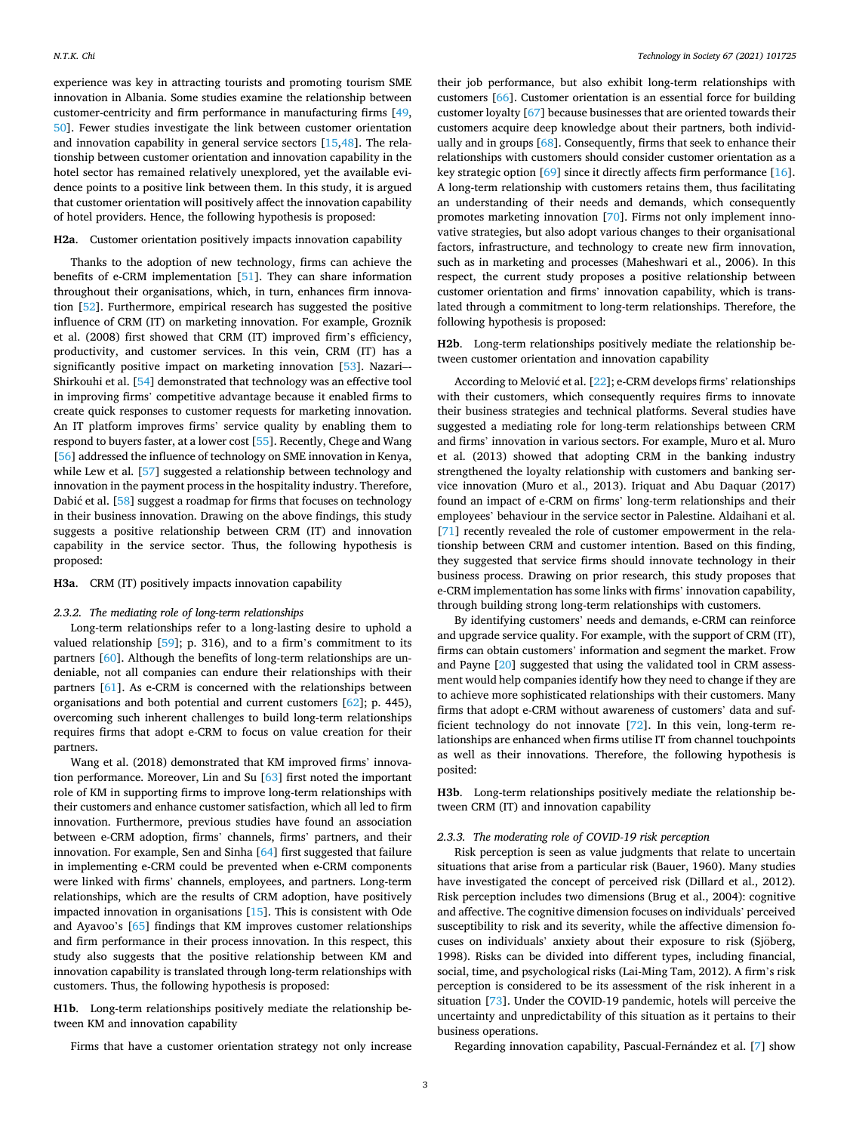experience was key in attracting tourists and promoting tourism SME innovation in Albania. Some studies examine the relationship between customer-centricity and firm performance in manufacturing firms [\[49](#page-7-0), [50\]](#page-7-0). Fewer studies investigate the link between customer orientation and innovation capability in general service sectors [\[15,48](#page-7-0)]. The relationship between customer orientation and innovation capability in the hotel sector has remained relatively unexplored, yet the available evidence points to a positive link between them. In this study, it is argued that customer orientation will positively affect the innovation capability of hotel providers. Hence, the following hypothesis is proposed:

# **H2a**. Customer orientation positively impacts innovation capability

Thanks to the adoption of new technology, firms can achieve the benefits of e-CRM implementation [\[51](#page-7-0)]. They can share information throughout their organisations, which, in turn, enhances firm innovation [\[52](#page-7-0)]. Furthermore, empirical research has suggested the positive influence of CRM (IT) on marketing innovation. For example, Groznik et al. (2008) first showed that CRM (IT) improved firm's efficiency, productivity, and customer services. In this vein, CRM (IT) has a significantly positive impact on marketing innovation [[53\]](#page-7-0). Nazari–-Shirkouhi et al. [\[54](#page-7-0)] demonstrated that technology was an effective tool in improving firms' competitive advantage because it enabled firms to create quick responses to customer requests for marketing innovation. An IT platform improves firms' service quality by enabling them to respond to buyers faster, at a lower cost [[55\]](#page-7-0). Recently, Chege and Wang [[56\]](#page-7-0) addressed the influence of technology on SME innovation in Kenya, while Lew et al. [[57\]](#page-8-0) suggested a relationship between technology and innovation in the payment process in the hospitality industry. Therefore, Dabić et al. [\[58](#page-8-0)] suggest a roadmap for firms that focuses on technology in their business innovation. Drawing on the above findings, this study suggests a positive relationship between CRM (IT) and innovation capability in the service sector. Thus, the following hypothesis is proposed:

## **H3a**. CRM (IT) positively impacts innovation capability

#### *2.3.2. The mediating role of long-term relationships*

Long-term relationships refer to a long-lasting desire to uphold a valued relationship [\[59](#page-8-0)]; p. 316), and to a firm's commitment to its partners [[60\]](#page-8-0). Although the benefits of long-term relationships are undeniable, not all companies can endure their relationships with their partners [\[61](#page-8-0)]. As e-CRM is concerned with the relationships between organisations and both potential and current customers [[62\]](#page-8-0); p. 445), overcoming such inherent challenges to build long-term relationships requires firms that adopt e-CRM to focus on value creation for their partners.

Wang et al. (2018) demonstrated that KM improved firms' innovation performance. Moreover, Lin and Su [[63\]](#page-8-0) first noted the important role of KM in supporting firms to improve long-term relationships with their customers and enhance customer satisfaction, which all led to firm innovation. Furthermore, previous studies have found an association between e-CRM adoption, firms' channels, firms' partners, and their innovation. For example, Sen and Sinha [[64\]](#page-8-0) first suggested that failure in implementing e-CRM could be prevented when e-CRM components were linked with firms' channels, employees, and partners. Long-term relationships, which are the results of CRM adoption, have positively impacted innovation in organisations [[15\]](#page-7-0). This is consistent with Ode and Ayavoo's [[65\]](#page-8-0) findings that KM improves customer relationships and firm performance in their process innovation. In this respect, this study also suggests that the positive relationship between KM and innovation capability is translated through long-term relationships with customers. Thus, the following hypothesis is proposed:

**H1b**. Long-term relationships positively mediate the relationship between KM and innovation capability

Firms that have a customer orientation strategy not only increase

their job performance, but also exhibit long-term relationships with customers [\[66\]](#page-8-0). Customer orientation is an essential force for building customer loyalty [[67\]](#page-8-0) because businesses that are oriented towards their customers acquire deep knowledge about their partners, both individually and in groups [\[68](#page-8-0)]. Consequently, firms that seek to enhance their relationships with customers should consider customer orientation as a key strategic option [\[69](#page-8-0)] since it directly affects firm performance [\[16](#page-7-0)]. A long-term relationship with customers retains them, thus facilitating an understanding of their needs and demands, which consequently promotes marketing innovation [[70](#page-8-0)]. Firms not only implement innovative strategies, but also adopt various changes to their organisational factors, infrastructure, and technology to create new firm innovation, such as in marketing and processes (Maheshwari et al., 2006). In this respect, the current study proposes a positive relationship between customer orientation and firms' innovation capability, which is translated through a commitment to long-term relationships. Therefore, the following hypothesis is proposed:

**H2b**. Long-term relationships positively mediate the relationship between customer orientation and innovation capability

According to Melović et al.  $[22]$  $[22]$ ; e-CRM develops firms' relationships with their customers, which consequently requires firms to innovate their business strategies and technical platforms. Several studies have suggested a mediating role for long-term relationships between CRM and firms' innovation in various sectors. For example, Muro et al. Muro et al. (2013) showed that adopting CRM in the banking industry strengthened the loyalty relationship with customers and banking service innovation (Muro et al., 2013). Iriquat and Abu Daquar (2017) found an impact of e-CRM on firms' long-term relationships and their employees' behaviour in the service sector in Palestine. Aldaihani et al. [[71\]](#page-8-0) recently revealed the role of customer empowerment in the relationship between CRM and customer intention. Based on this finding, they suggested that service firms should innovate technology in their business process. Drawing on prior research, this study proposes that e-CRM implementation has some links with firms' innovation capability, through building strong long-term relationships with customers.

By identifying customers' needs and demands, e-CRM can reinforce and upgrade service quality. For example, with the support of CRM (IT), firms can obtain customers' information and segment the market. Frow and Payne [[20\]](#page-7-0) suggested that using the validated tool in CRM assessment would help companies identify how they need to change if they are to achieve more sophisticated relationships with their customers. Many firms that adopt e-CRM without awareness of customers' data and sufficient technology do not innovate [[72\]](#page-8-0). In this vein, long-term relationships are enhanced when firms utilise IT from channel touchpoints as well as their innovations. Therefore, the following hypothesis is posited:

**H3b**. Long-term relationships positively mediate the relationship between CRM (IT) and innovation capability

#### *2.3.3. The moderating role of COVID-19 risk perception*

Risk perception is seen as value judgments that relate to uncertain situations that arise from a particular risk (Bauer, 1960). Many studies have investigated the concept of perceived risk (Dillard et al., 2012). Risk perception includes two dimensions (Brug et al., 2004): cognitive and affective. The cognitive dimension focuses on individuals' perceived susceptibility to risk and its severity, while the affective dimension focuses on individuals' anxiety about their exposure to risk (Sjöberg, 1998). Risks can be divided into different types, including financial, social, time, and psychological risks (Lai-Ming Tam, 2012). A firm's risk perception is considered to be its assessment of the risk inherent in a situation [\[73](#page-8-0)]. Under the COVID-19 pandemic, hotels will perceive the uncertainty and unpredictability of this situation as it pertains to their business operations.

Regarding innovation capability, Pascual-Fernández et al. [[7](#page-7-0)] show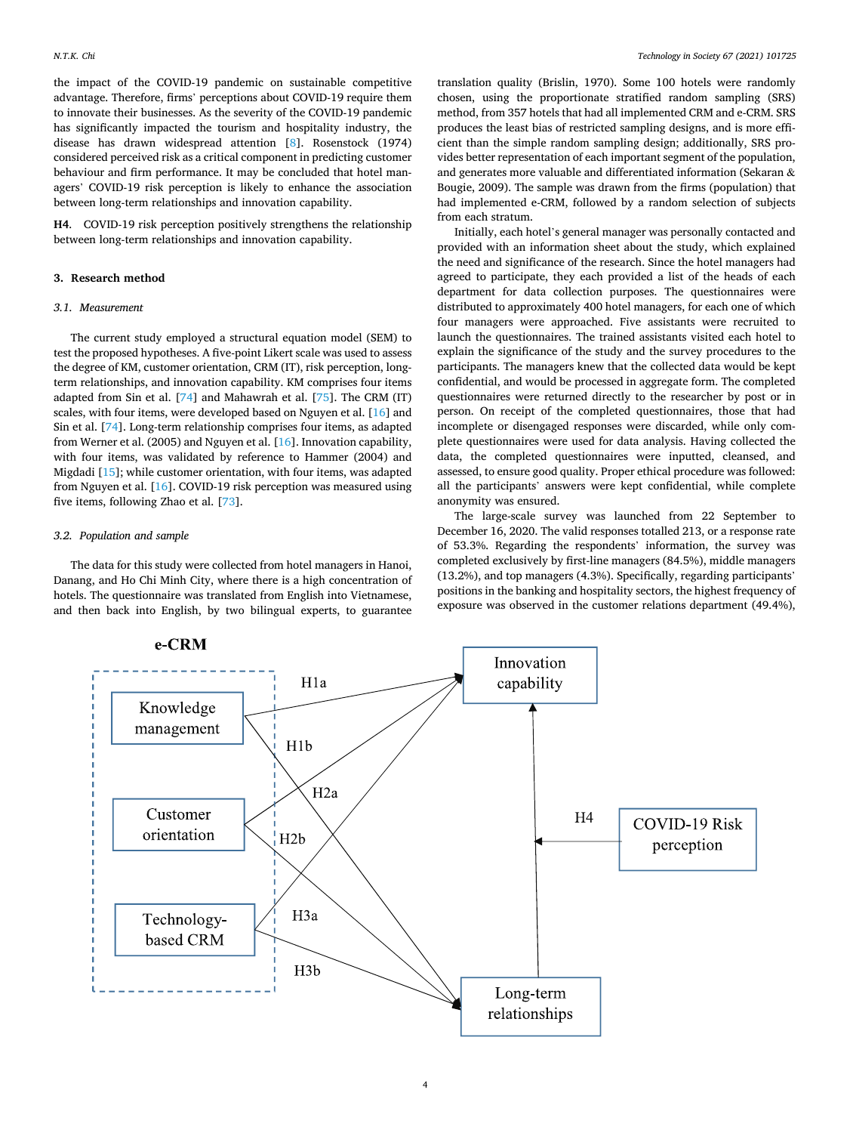<span id="page-3-0"></span>the impact of the COVID-19 pandemic on sustainable competitive advantage. Therefore, firms' perceptions about COVID-19 require them to innovate their businesses. As the severity of the COVID-19 pandemic has significantly impacted the tourism and hospitality industry, the disease has drawn widespread attention [\[8\]](#page-7-0). Rosenstock (1974) considered perceived risk as a critical component in predicting customer behaviour and firm performance. It may be concluded that hotel managers' COVID-19 risk perception is likely to enhance the association between long-term relationships and innovation capability.

**H4**. COVID-19 risk perception positively strengthens the relationship between long-term relationships and innovation capability.

#### **3. Research method**

#### *3.1. Measurement*

The current study employed a structural equation model (SEM) to test the proposed hypotheses. A five-point Likert scale was used to assess the degree of KM, customer orientation, CRM (IT), risk perception, longterm relationships, and innovation capability. KM comprises four items adapted from Sin et al. [\[74](#page-8-0)] and Mahawrah et al. [[75\]](#page-8-0). The CRM (IT) scales, with four items, were developed based on Nguyen et al. [\[16](#page-7-0)] and Sin et al. [[74\]](#page-8-0). Long-term relationship comprises four items, as adapted from Werner et al. (2005) and Nguyen et al. [\[16](#page-7-0)]. Innovation capability, with four items, was validated by reference to Hammer (2004) and Migdadi [[15\]](#page-7-0); while customer orientation, with four items, was adapted from Nguyen et al. [[16\]](#page-7-0). COVID-19 risk perception was measured using five items, following Zhao et al. [[73\]](#page-8-0).

### *3.2. Population and sample*

The data for this study were collected from hotel managers in Hanoi, Danang, and Ho Chi Minh City, where there is a high concentration of hotels. The questionnaire was translated from English into Vietnamese, and then back into English, by two bilingual experts, to guarantee

translation quality (Brislin, 1970). Some 100 hotels were randomly chosen, using the proportionate stratified random sampling (SRS) method, from 357 hotels that had all implemented CRM and e-CRM. SRS produces the least bias of restricted sampling designs, and is more efficient than the simple random sampling design; additionally, SRS provides better representation of each important segment of the population, and generates more valuable and differentiated information (Sekaran & Bougie, 2009). The sample was drawn from the firms (population) that had implemented e-CRM, followed by a random selection of subjects from each stratum.

Initially, each hotel's general manager was personally contacted and provided with an information sheet about the study, which explained the need and significance of the research. Since the hotel managers had agreed to participate, they each provided a list of the heads of each department for data collection purposes. The questionnaires were distributed to approximately 400 hotel managers, for each one of which four managers were approached. Five assistants were recruited to launch the questionnaires. The trained assistants visited each hotel to explain the significance of the study and the survey procedures to the participants. The managers knew that the collected data would be kept confidential, and would be processed in aggregate form. The completed questionnaires were returned directly to the researcher by post or in person. On receipt of the completed questionnaires, those that had incomplete or disengaged responses were discarded, while only complete questionnaires were used for data analysis. Having collected the data, the completed questionnaires were inputted, cleansed, and assessed, to ensure good quality. Proper ethical procedure was followed: all the participants' answers were kept confidential, while complete anonymity was ensured.

The large-scale survey was launched from 22 September to December 16, 2020. The valid responses totalled 213, or a response rate of 53.3%. Regarding the respondents' information, the survey was completed exclusively by first-line managers (84.5%), middle managers (13.2%), and top managers (4.3%). Specifically, regarding participants' positions in the banking and hospitality sectors, the highest frequency of exposure was observed in the customer relations department (49.4%),

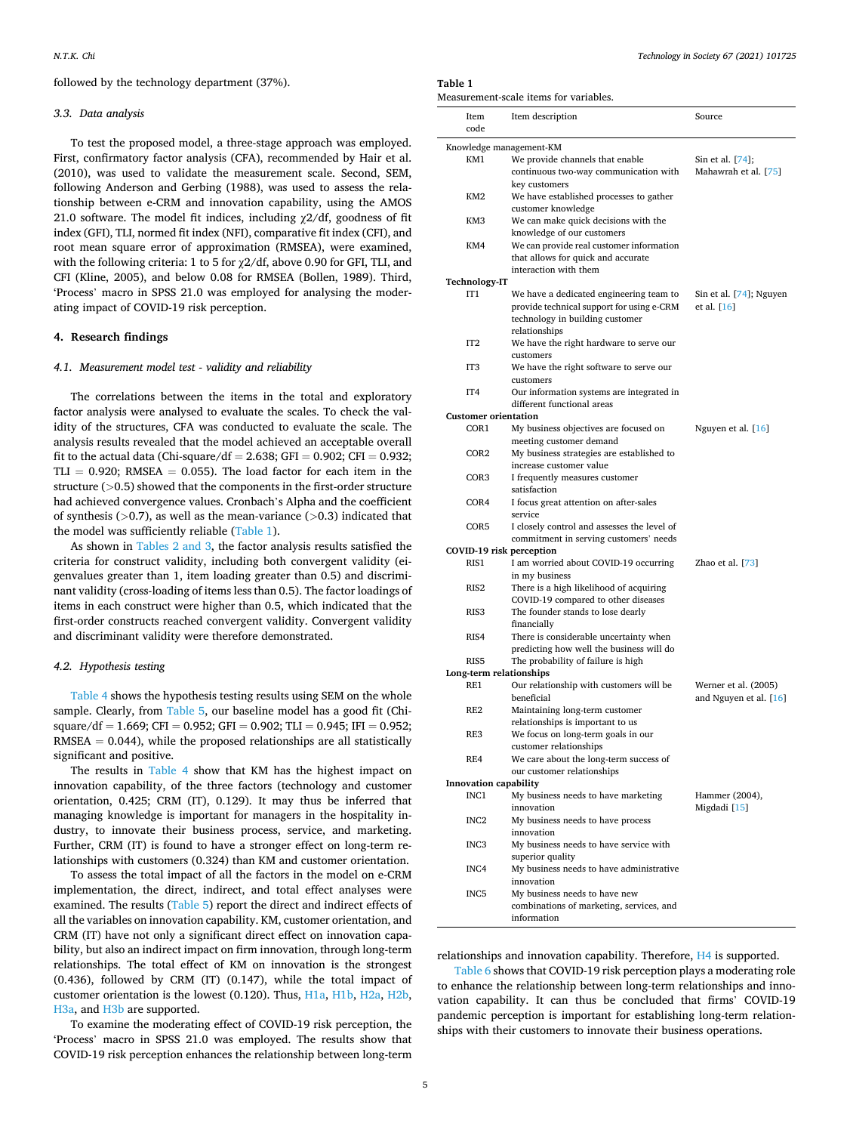followed by the technology department (37%).

### *3.3. Data analysis*

To test the proposed model, a three-stage approach was employed. First, confirmatory factor analysis (CFA), recommended by Hair et al. (2010), was used to validate the measurement scale. Second, SEM, following Anderson and Gerbing (1988), was used to assess the relationship between e-CRM and innovation capability, using the AMOS 21.0 software. The model fit indices, including  $\chi$ 2/df, goodness of fit index (GFI), TLI, normed fit index (NFI), comparative fit index (CFI), and root mean square error of approximation (RMSEA), were examined, with the following criteria: 1 to 5 for χ2/df, above 0.90 for GFI, TLI, and CFI (Kline, 2005), and below 0.08 for RMSEA (Bollen, 1989). Third, 'Process' macro in SPSS 21.0 was employed for analysing the moderating impact of COVID-19 risk perception.

## **4. Research findings**

### *4.1. Measurement model test - validity and reliability*

The correlations between the items in the total and exploratory factor analysis were analysed to evaluate the scales. To check the validity of the structures, CFA was conducted to evaluate the scale. The analysis results revealed that the model achieved an acceptable overall fit to the actual data (Chi-square/df = 2.638; GFI = 0.902; CFI = 0.932; TLI =  $0.920$ ; RMSEA =  $0.055$ ). The load factor for each item in the structure (*>*0.5) showed that the components in the first-order structure had achieved convergence values. Cronbach's Alpha and the coefficient of synthesis (*>*0.7), as well as the mean-variance (*>*0.3) indicated that the model was sufficiently reliable (Table 1).

As shown in [Tables 2 and 3](#page-5-0), the factor analysis results satisfied the criteria for construct validity, including both convergent validity (eigenvalues greater than 1, item loading greater than 0.5) and discriminant validity (cross-loading of items less than 0.5). The factor loadings of items in each construct were higher than 0.5, which indicated that the first-order constructs reached convergent validity. Convergent validity and discriminant validity were therefore demonstrated.

#### *4.2. Hypothesis testing*

[Table 4](#page-5-0) shows the hypothesis testing results using SEM on the whole sample. Clearly, from [Table 5,](#page-5-0) our baseline model has a good fit (Chisquare/df = 1.669; CFI = 0.952; GFI = 0.902; TLI = 0.945; IFI = 0.952;  $RMSEA = 0.044$ , while the proposed relationships are all statistically significant and positive.

The results in [Table 4](#page-5-0) show that KM has the highest impact on innovation capability, of the three factors (technology and customer orientation, 0.425; CRM (IT), 0.129). It may thus be inferred that managing knowledge is important for managers in the hospitality industry, to innovate their business process, service, and marketing. Further, CRM (IT) is found to have a stronger effect on long-term relationships with customers (0.324) than KM and customer orientation.

To assess the total impact of all the factors in the model on e-CRM implementation, the direct, indirect, and total effect analyses were examined. The results [\(Table 5](#page-5-0)) report the direct and indirect effects of all the variables on innovation capability. KM, customer orientation, and CRM (IT) have not only a significant direct effect on innovation capability, but also an indirect impact on firm innovation, through long-term relationships. The total effect of KM on innovation is the strongest (0.436), followed by CRM (IT) (0.147), while the total impact of customer orientation is the lowest (0.120). Thus, H1a, H1b, H2a, H2b, H3a, and H3b are supported.

To examine the moderating effect of COVID-19 risk perception, the 'Process' macro in SPSS 21.0 was employed. The results show that COVID-19 risk perception enhances the relationship between long-term

### **Table 1**

Measurement-scale items for variables.

|                            | Item                         | Item description                                                         | Source                  |  |  |  |  |  |  |
|----------------------------|------------------------------|--------------------------------------------------------------------------|-------------------------|--|--|--|--|--|--|
|                            | code                         |                                                                          |                         |  |  |  |  |  |  |
| Knowledge management-KM    |                              |                                                                          |                         |  |  |  |  |  |  |
|                            | KM1                          | We provide channels that enable                                          | Sin et al. [74];        |  |  |  |  |  |  |
|                            |                              | continuous two-way communication with                                    | Mahawrah et al. [75]    |  |  |  |  |  |  |
|                            |                              | key customers                                                            |                         |  |  |  |  |  |  |
|                            | KM <sub>2</sub>              | We have established processes to gather                                  |                         |  |  |  |  |  |  |
|                            |                              | customer knowledge                                                       |                         |  |  |  |  |  |  |
|                            | KM3                          | We can make quick decisions with the                                     |                         |  |  |  |  |  |  |
|                            |                              | knowledge of our customers                                               |                         |  |  |  |  |  |  |
|                            | KM4                          | We can provide real customer information                                 |                         |  |  |  |  |  |  |
|                            |                              | that allows for quick and accurate                                       |                         |  |  |  |  |  |  |
|                            |                              | interaction with them                                                    |                         |  |  |  |  |  |  |
|                            | Technology-IT                |                                                                          |                         |  |  |  |  |  |  |
|                            | IT <sub>1</sub>              | We have a dedicated engineering team to                                  | Sin et al. [74]; Nguyen |  |  |  |  |  |  |
|                            |                              | provide technical support for using e-CRM                                | et al. $[16]$           |  |  |  |  |  |  |
|                            |                              | technology in building customer                                          |                         |  |  |  |  |  |  |
|                            |                              | relationships                                                            |                         |  |  |  |  |  |  |
|                            | IT <sub>2</sub>              | We have the right hardware to serve our<br>customers                     |                         |  |  |  |  |  |  |
|                            | IT <sub>3</sub>              | We have the right software to serve our                                  |                         |  |  |  |  |  |  |
|                            |                              | customers                                                                |                         |  |  |  |  |  |  |
|                            | IT4                          | Our information systems are integrated in                                |                         |  |  |  |  |  |  |
|                            |                              | different functional areas                                               |                         |  |  |  |  |  |  |
|                            | <b>Customer orientation</b>  |                                                                          |                         |  |  |  |  |  |  |
|                            | COR1                         | My business objectives are focused on                                    | Nguyen et al. [16]      |  |  |  |  |  |  |
|                            |                              | meeting customer demand                                                  |                         |  |  |  |  |  |  |
|                            | COR <sub>2</sub>             | My business strategies are established to                                |                         |  |  |  |  |  |  |
|                            |                              | increase customer value                                                  |                         |  |  |  |  |  |  |
|                            | COR3                         | I frequently measures customer                                           |                         |  |  |  |  |  |  |
|                            |                              | satisfaction                                                             |                         |  |  |  |  |  |  |
|                            | COR4                         | I focus great attention on after-sales                                   |                         |  |  |  |  |  |  |
|                            |                              | service                                                                  |                         |  |  |  |  |  |  |
|                            | COR5                         | I closely control and assesses the level of                              |                         |  |  |  |  |  |  |
|                            |                              | commitment in serving customers' needs                                   |                         |  |  |  |  |  |  |
|                            |                              | COVID-19 risk perception                                                 |                         |  |  |  |  |  |  |
|                            | RIS1                         | I am worried about COVID-19 occurring                                    | Zhao et al. [73]        |  |  |  |  |  |  |
|                            |                              | in my business                                                           |                         |  |  |  |  |  |  |
|                            | RIS <sub>2</sub>             | There is a high likelihood of acquiring                                  |                         |  |  |  |  |  |  |
|                            | RIS <sub>3</sub>             | COVID-19 compared to other diseases<br>The founder stands to lose dearly |                         |  |  |  |  |  |  |
|                            |                              | financially                                                              |                         |  |  |  |  |  |  |
|                            | RIS4                         | There is considerable uncertainty when                                   |                         |  |  |  |  |  |  |
|                            |                              | predicting how well the business will do                                 |                         |  |  |  |  |  |  |
|                            | RIS5                         | The probability of failure is high                                       |                         |  |  |  |  |  |  |
|                            | Long-term relationships      |                                                                          |                         |  |  |  |  |  |  |
|                            | RE1                          | Our relationship with customers will be                                  | Werner et al. (2005)    |  |  |  |  |  |  |
|                            |                              | beneficial                                                               | and Nguyen et al. [16]  |  |  |  |  |  |  |
|                            | RE <sub>2</sub>              | Maintaining long-term customer                                           |                         |  |  |  |  |  |  |
|                            |                              | relationships is important to us                                         |                         |  |  |  |  |  |  |
|                            | RE3                          | We focus on long-term goals in our                                       |                         |  |  |  |  |  |  |
|                            |                              | customer relationships                                                   |                         |  |  |  |  |  |  |
|                            | RE4                          | We care about the long-term success of                                   |                         |  |  |  |  |  |  |
| our customer relationships |                              |                                                                          |                         |  |  |  |  |  |  |
|                            | <b>Innovation capability</b> |                                                                          |                         |  |  |  |  |  |  |
|                            | INC1                         | My business needs to have marketing                                      | Hammer (2004),          |  |  |  |  |  |  |
|                            |                              | innovation                                                               | Migdadi [15]            |  |  |  |  |  |  |
|                            | INC <sub>2</sub>             | My business needs to have process                                        |                         |  |  |  |  |  |  |
|                            |                              | innovation                                                               |                         |  |  |  |  |  |  |
|                            | INC <sub>3</sub>             | My business needs to have service with<br>superior quality               |                         |  |  |  |  |  |  |
|                            | INC4                         | My business needs to have administrative                                 |                         |  |  |  |  |  |  |
|                            |                              | innovation                                                               |                         |  |  |  |  |  |  |
|                            | INC5                         | My business needs to have new                                            |                         |  |  |  |  |  |  |
|                            |                              | combinations of marketing, services, and                                 |                         |  |  |  |  |  |  |
|                            |                              | information                                                              |                         |  |  |  |  |  |  |
|                            |                              |                                                                          |                         |  |  |  |  |  |  |

relationships and innovation capability. Therefore, [H4](#page-3-0) is supported.

[Table 6](#page-6-0) shows that COVID-19 risk perception plays a moderating role to enhance the relationship between long-term relationships and innovation capability. It can thus be concluded that firms' COVID-19 pandemic perception is important for establishing long-term relationships with their customers to innovate their business operations.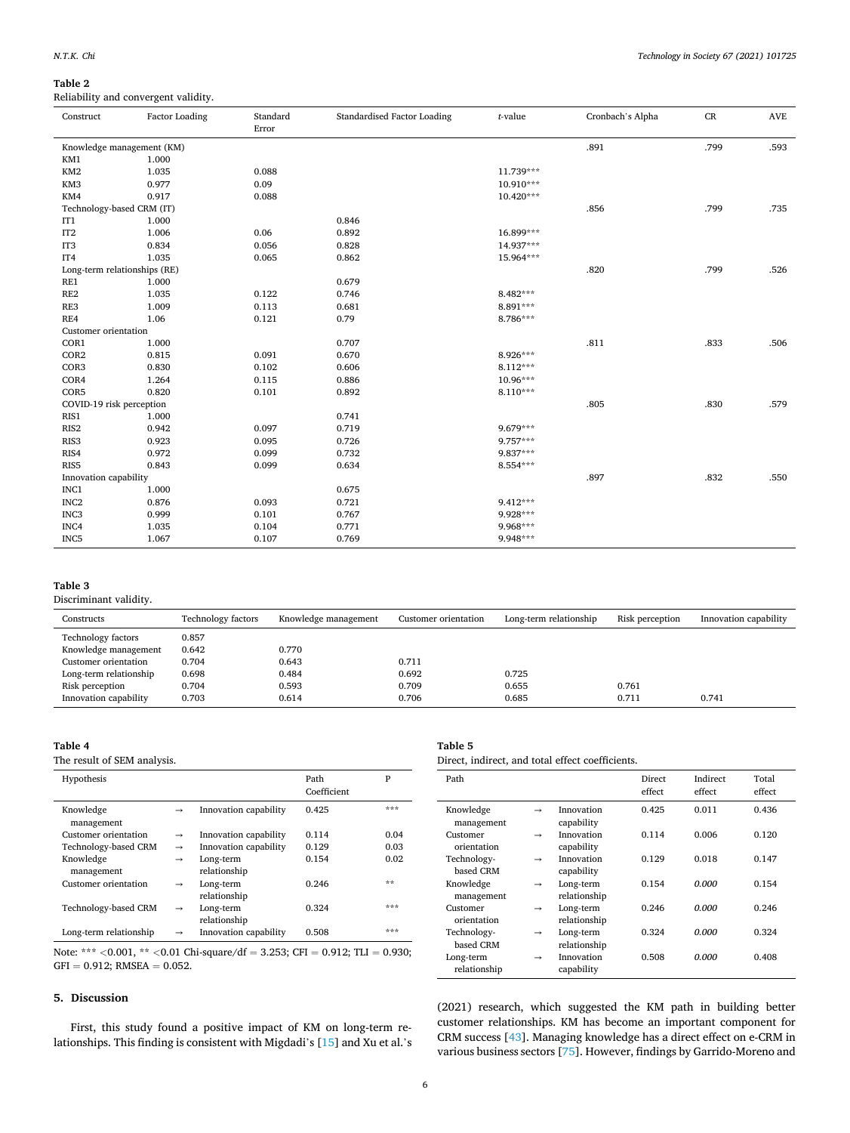# <span id="page-5-0"></span>**Table 2**

Reliability and convergent validity.

| Construct                    | <b>Factor Loading</b> | Standard<br>Error | Standardised Factor Loading | $t$ -value  | Cronbach's Alpha | CR   | <b>AVE</b> |
|------------------------------|-----------------------|-------------------|-----------------------------|-------------|------------------|------|------------|
| Knowledge management (KM)    |                       |                   |                             |             | .891             | .799 | .593       |
| KM1                          | 1.000                 |                   |                             |             |                  |      |            |
| KM <sub>2</sub>              | 1.035                 | 0.088             |                             | 11.739***   |                  |      |            |
| KM3                          | 0.977                 | 0.09              |                             | 10.910***   |                  |      |            |
| KM4                          | 0.917                 | 0.088             |                             | $10.420***$ |                  |      |            |
| Technology-based CRM (IT)    |                       |                   |                             |             | .856             | .799 | .735       |
| IT <sub>1</sub>              | 1.000                 |                   | 0.846                       |             |                  |      |            |
| IT <sub>2</sub>              | 1.006                 | 0.06              | 0.892                       | 16.899***   |                  |      |            |
| IT <sub>3</sub>              | 0.834                 | 0.056             | 0.828                       | 14.937***   |                  |      |            |
| IT4                          | 1.035                 | 0.065             | 0.862                       | 15.964***   |                  |      |            |
| Long-term relationships (RE) |                       |                   |                             |             | .820             | .799 | .526       |
| RE1                          | 1.000                 |                   | 0.679                       |             |                  |      |            |
| RE <sub>2</sub>              | 1.035                 | 0.122             | 0.746                       | 8.482***    |                  |      |            |
| RE3                          | 1.009                 | 0.113             | 0.681                       | 8.891***    |                  |      |            |
| RE4                          | 1.06                  | 0.121             | 0.79                        | 8.786***    |                  |      |            |
| Customer orientation         |                       |                   |                             |             |                  |      |            |
| COR1                         | 1.000                 |                   | 0.707                       |             | .811             | .833 | .506       |
| COR <sub>2</sub>             | 0.815                 | 0.091             | 0.670                       | 8.926***    |                  |      |            |
| COR3                         | 0.830                 | 0.102             | 0.606                       | $8.112***$  |                  |      |            |
| COR4                         | 1.264                 | 0.115             | 0.886                       | $10.96***$  |                  |      |            |
| COR5                         | 0.820                 | 0.101             | 0.892                       | $8.110***$  |                  |      |            |
| COVID-19 risk perception     |                       |                   |                             |             | .805             | .830 | .579       |
| RIS1                         | 1.000                 |                   | 0.741                       |             |                  |      |            |
| RIS <sub>2</sub>             | 0.942                 | 0.097             | 0.719                       | 9.679***    |                  |      |            |
| RIS <sub>3</sub>             | 0.923                 | 0.095             | 0.726                       | 9.757***    |                  |      |            |
| RIS4                         | 0.972                 | 0.099             | 0.732                       | 9.837***    |                  |      |            |
| RIS <sub>5</sub>             | 0.843                 | 0.099             | 0.634                       | 8.554***    |                  |      |            |
| Innovation capability        |                       |                   |                             |             | .897             | .832 | .550       |
| INC1                         | 1.000                 |                   | 0.675                       |             |                  |      |            |
| INC <sub>2</sub>             | 0.876                 | 0.093             | 0.721                       | 9.412***    |                  |      |            |
| INC <sub>3</sub>             | 0.999                 | 0.101             | 0.767                       | 9.928***    |                  |      |            |
| INC4                         | 1.035                 | 0.104             | 0.771                       | 9.968***    |                  |      |            |
| INC <sub>5</sub>             | 1.067                 | 0.107             | 0.769                       | 9.948***    |                  |      |            |

# **Table 3**

Discriminant validity.

| Constructs                | <b>Technology factors</b> | Knowledge management | Customer orientation | Long-term relationship | Risk perception | Innovation capability |
|---------------------------|---------------------------|----------------------|----------------------|------------------------|-----------------|-----------------------|
| <b>Technology factors</b> | 0.857                     |                      |                      |                        |                 |                       |
| Knowledge management      | 0.642                     | 0.770                |                      |                        |                 |                       |
| Customer orientation      | 0.704                     | 0.643                | 0.711                |                        |                 |                       |
| Long-term relationship    | 0.698                     | 0.484                | 0.692                | 0.725                  |                 |                       |
| Risk perception           | 0.704                     | 0.593                | 0.709                | 0.655                  | 0.761           |                       |
| Innovation capability     | 0.703                     | 0.614                | 0.706                | 0.685                  | 0.711           | 0.741                 |

### **Table 4**

The result of SEM analysis.

| ***<br>Knowledge<br>0.425<br>Innovation capability<br>$\rightarrow$<br>management<br>Customer orientation<br>Innovation capability<br>0.114<br>0.04<br>$\rightarrow$<br>Technology-based CRM<br>Innovation capability<br>0.129<br>0.03<br>$\rightarrow$<br>Knowledge<br>0.154<br>0.02<br>Long-term<br>$\rightarrow$ |
|---------------------------------------------------------------------------------------------------------------------------------------------------------------------------------------------------------------------------------------------------------------------------------------------------------------------|
|                                                                                                                                                                                                                                                                                                                     |
|                                                                                                                                                                                                                                                                                                                     |
|                                                                                                                                                                                                                                                                                                                     |
| relationship<br>management                                                                                                                                                                                                                                                                                          |
| **<br>Customer orientation<br>0.246<br>Long-term<br>$\rightarrow$<br>relationship                                                                                                                                                                                                                                   |
| ***<br>Technology-based CRM<br>0.324<br>Long-term<br>$\rightarrow$<br>relationship                                                                                                                                                                                                                                  |
| ***<br>Long-term relationship<br>Innovation capability<br>0.508<br>$\rightarrow$                                                                                                                                                                                                                                    |

Note: \*\*\* *<*0.001, \*\* *<*0.01 Chi-square/df = 3.253; CFI = 0.912; TLI = 0.930;  $GFI = 0.912; RMSEA = 0.052.$ 

# **5. Discussion**

First, this study found a positive impact of KM on long-term relationships. This finding is consistent with Migdadi's [\[15](#page-7-0)] and Xu et al.'s

# **Table 5**

Direct, indirect, and total effect coefficients.

| Path                      |               |                           | Direct<br>effect | Indirect<br>effect | Total<br>effect |
|---------------------------|---------------|---------------------------|------------------|--------------------|-----------------|
| Knowledge<br>management   | $\rightarrow$ | Innovation<br>capability  | 0.425            | 0.011              | 0.436           |
| Customer<br>orientation   | $\rightarrow$ | Innovation<br>capability  | 0.114            | 0.006              | 0.120           |
| Technology-<br>based CRM  | $\rightarrow$ | Innovation<br>capability  | 0.129            | 0.018              | 0.147           |
| Knowledge<br>management   | $\rightarrow$ | Long-term<br>relationship | 0.154            | 0.000              | 0.154           |
| Customer<br>orientation   | $\rightarrow$ | Long-term<br>relationship | 0.246            | 0.000              | 0.246           |
| Technology-<br>based CRM  | $\rightarrow$ | Long-term<br>relationship | 0.324            | 0.000              | 0.324           |
| Long-term<br>relationship | $\rightarrow$ | Innovation<br>capability  | 0.508            | 0.000              | 0.408           |

(2021) research, which suggested the KM path in building better customer relationships. KM has become an important component for CRM success [[43\]](#page-7-0). Managing knowledge has a direct effect on e-CRM in various business sectors [\[75](#page-8-0)]. However, findings by Garrido-Moreno and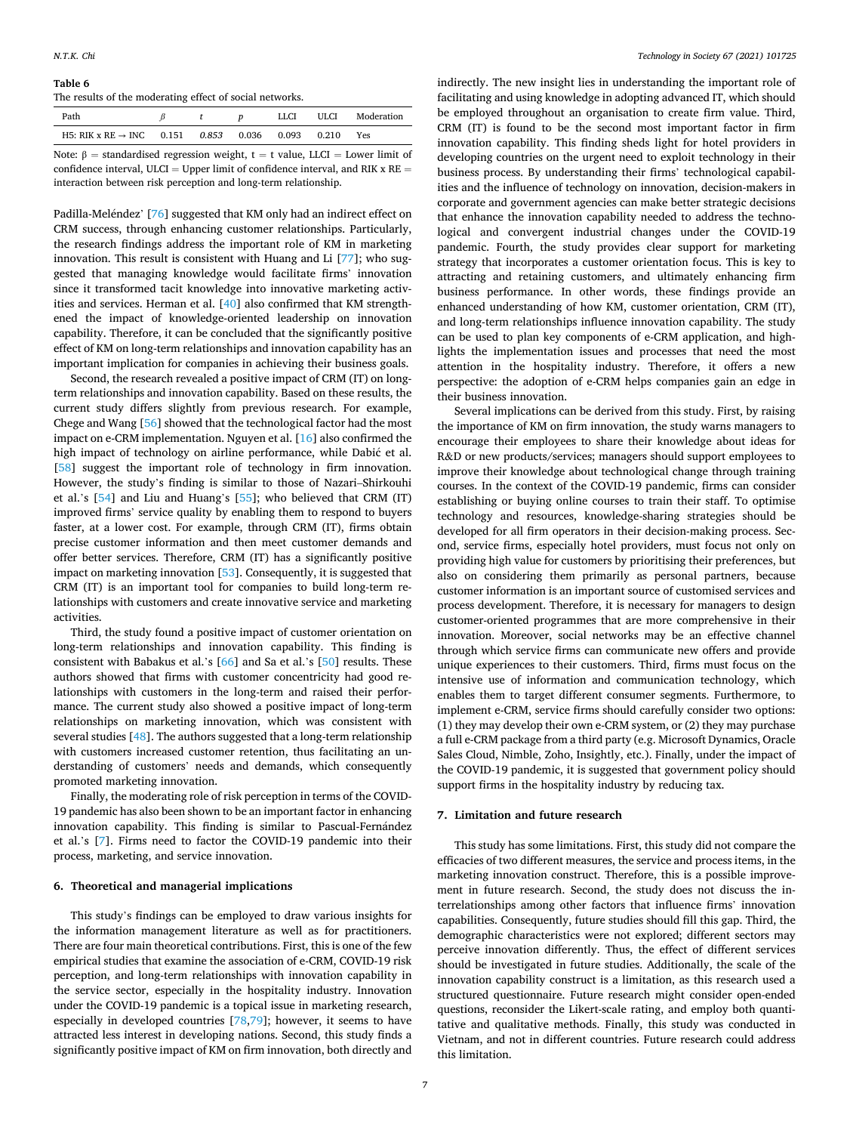# <span id="page-6-0"></span>**Table 6**

The results of the moderating effect of social networks.

| Path                                 |       |       | LLCI  | ULCI. | Moderation |
|--------------------------------------|-------|-------|-------|-------|------------|
| H5: RIK x RE $\rightarrow$ INC 0.151 | 0.853 | 0.036 | 0.093 | 0.210 | Yes        |

Note:  $β = standardised regression weight, t = t value, LLCI = Lower limit of$ confidence interval, ULCI = Upper limit of confidence interval, and RIK  $x$  RE = interaction between risk perception and long-term relationship.

Padilla-Meléndez' [\[76](#page-8-0)] suggested that KM only had an indirect effect on CRM success, through enhancing customer relationships. Particularly, the research findings address the important role of KM in marketing innovation. This result is consistent with Huang and Li [\[77](#page-8-0)]; who suggested that managing knowledge would facilitate firms' innovation since it transformed tacit knowledge into innovative marketing activities and services. Herman et al. [[40\]](#page-7-0) also confirmed that KM strengthened the impact of knowledge-oriented leadership on innovation capability. Therefore, it can be concluded that the significantly positive effect of KM on long-term relationships and innovation capability has an important implication for companies in achieving their business goals.

Second, the research revealed a positive impact of CRM (IT) on longterm relationships and innovation capability. Based on these results, the current study differs slightly from previous research. For example, Chege and Wang [\[56](#page-7-0)] showed that the technological factor had the most impact on e-CRM implementation. Nguyen et al. [\[16](#page-7-0)] also confirmed the high impact of technology on airline performance, while Dabić et al. [[58\]](#page-8-0) suggest the important role of technology in firm innovation. However, the study's finding is similar to those of Nazari–Shirkouhi et al.'s [[54\]](#page-7-0) and Liu and Huang's [[55\]](#page-7-0); who believed that CRM (IT) improved firms' service quality by enabling them to respond to buyers faster, at a lower cost. For example, through CRM (IT), firms obtain precise customer information and then meet customer demands and offer better services. Therefore, CRM (IT) has a significantly positive impact on marketing innovation [[53\]](#page-7-0). Consequently, it is suggested that CRM (IT) is an important tool for companies to build long-term relationships with customers and create innovative service and marketing activities.

Third, the study found a positive impact of customer orientation on long-term relationships and innovation capability. This finding is consistent with Babakus et al.'s [\[66](#page-8-0)] and Sa et al.'s [[50\]](#page-7-0) results. These authors showed that firms with customer concentricity had good relationships with customers in the long-term and raised their performance. The current study also showed a positive impact of long-term relationships on marketing innovation, which was consistent with several studies [[48\]](#page-7-0). The authors suggested that a long-term relationship with customers increased customer retention, thus facilitating an understanding of customers' needs and demands, which consequently promoted marketing innovation.

Finally, the moderating role of risk perception in terms of the COVID-19 pandemic has also been shown to be an important factor in enhancing innovation capability. This finding is similar to Pascual-Fernández et al.'s [\[7\]](#page-7-0). Firms need to factor the COVID-19 pandemic into their process, marketing, and service innovation.

#### **6. Theoretical and managerial implications**

This study's findings can be employed to draw various insights for the information management literature as well as for practitioners. There are four main theoretical contributions. First, this is one of the few empirical studies that examine the association of e-CRM, COVID-19 risk perception, and long-term relationships with innovation capability in the service sector, especially in the hospitality industry. Innovation under the COVID-19 pandemic is a topical issue in marketing research, especially in developed countries [\[78,79](#page-8-0)]; however, it seems to have attracted less interest in developing nations. Second, this study finds a significantly positive impact of KM on firm innovation, both directly and indirectly. The new insight lies in understanding the important role of facilitating and using knowledge in adopting advanced IT, which should be employed throughout an organisation to create firm value. Third, CRM (IT) is found to be the second most important factor in firm innovation capability. This finding sheds light for hotel providers in developing countries on the urgent need to exploit technology in their business process. By understanding their firms' technological capabilities and the influence of technology on innovation, decision-makers in corporate and government agencies can make better strategic decisions that enhance the innovation capability needed to address the technological and convergent industrial changes under the COVID-19 pandemic. Fourth, the study provides clear support for marketing strategy that incorporates a customer orientation focus. This is key to attracting and retaining customers, and ultimately enhancing firm business performance. In other words, these findings provide an enhanced understanding of how KM, customer orientation, CRM (IT), and long-term relationships influence innovation capability. The study can be used to plan key components of e-CRM application, and highlights the implementation issues and processes that need the most attention in the hospitality industry. Therefore, it offers a new perspective: the adoption of e-CRM helps companies gain an edge in their business innovation.

Several implications can be derived from this study. First, by raising the importance of KM on firm innovation, the study warns managers to encourage their employees to share their knowledge about ideas for R&D or new products/services; managers should support employees to improve their knowledge about technological change through training courses. In the context of the COVID-19 pandemic, firms can consider establishing or buying online courses to train their staff. To optimise technology and resources, knowledge-sharing strategies should be developed for all firm operators in their decision-making process. Second, service firms, especially hotel providers, must focus not only on providing high value for customers by prioritising their preferences, but also on considering them primarily as personal partners, because customer information is an important source of customised services and process development. Therefore, it is necessary for managers to design customer-oriented programmes that are more comprehensive in their innovation. Moreover, social networks may be an effective channel through which service firms can communicate new offers and provide unique experiences to their customers. Third, firms must focus on the intensive use of information and communication technology, which enables them to target different consumer segments. Furthermore, to implement e-CRM, service firms should carefully consider two options: (1) they may develop their own e-CRM system, or (2) they may purchase a full e-CRM package from a third party (e.g. Microsoft Dynamics, Oracle Sales Cloud, Nimble, Zoho, Insightly, etc.). Finally, under the impact of the COVID-19 pandemic, it is suggested that government policy should support firms in the hospitality industry by reducing tax.

## **7. Limitation and future research**

This study has some limitations. First, this study did not compare the efficacies of two different measures, the service and process items, in the marketing innovation construct. Therefore, this is a possible improvement in future research. Second, the study does not discuss the interrelationships among other factors that influence firms' innovation capabilities. Consequently, future studies should fill this gap. Third, the demographic characteristics were not explored; different sectors may perceive innovation differently. Thus, the effect of different services should be investigated in future studies. Additionally, the scale of the innovation capability construct is a limitation, as this research used a structured questionnaire. Future research might consider open-ended questions, reconsider the Likert-scale rating, and employ both quantitative and qualitative methods. Finally, this study was conducted in Vietnam, and not in different countries. Future research could address this limitation.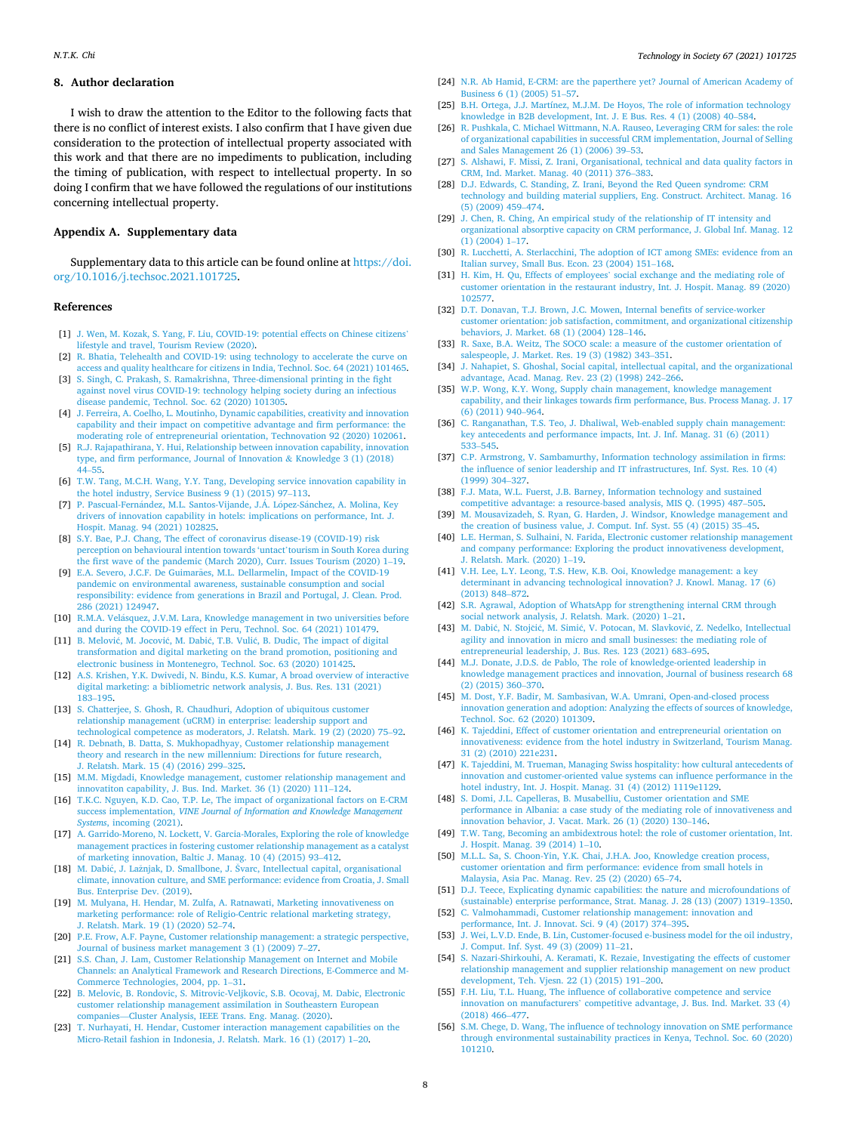#### <span id="page-7-0"></span>**8. Author declaration**

I wish to draw the attention to the Editor to the following facts that there is no conflict of interest exists. I also confirm that I have given due consideration to the protection of intellectual property associated with this work and that there are no impediments to publication, including the timing of publication, with respect to intellectual property. In so doing I confirm that we have followed the regulations of our institutions concerning intellectual property.

# **Appendix A. Supplementary data**

Supplementary data to this article can be found online at [https://doi.](https://doi.org/10.1016/j.techsoc.2021.101725)  [org/10.1016/j.techsoc.2021.101725](https://doi.org/10.1016/j.techsoc.2021.101725).

#### **References**

- [1] [J. Wen, M. Kozak, S. Yang, F. Liu, COVID-19: potential effects on Chinese citizens](http://refhub.elsevier.com/S0160-791X(21)00200-1/sref1)' [lifestyle and travel, Tourism Review \(2020\)](http://refhub.elsevier.com/S0160-791X(21)00200-1/sref1).
- [2] R. Bhatia, Telehealth and COVID-19: using technology to accelerate the curve on [access and quality healthcare for citizens in India, Technol. Soc. 64 \(2021\) 101465.](http://refhub.elsevier.com/S0160-791X(21)00200-1/sref2)
- [3] [S. Singh, C. Prakash, S. Ramakrishna, Three-dimensional printing in the fight](http://refhub.elsevier.com/S0160-791X(21)00200-1/sref3)  [against novel virus COVID-19: technology helping society during an infectious](http://refhub.elsevier.com/S0160-791X(21)00200-1/sref3)  [disease pandemic, Technol. Soc. 62 \(2020\) 101305.](http://refhub.elsevier.com/S0160-791X(21)00200-1/sref3)
- [4] [J. Ferreira, A. Coelho, L. Moutinho, Dynamic capabilities, creativity and innovation](http://refhub.elsevier.com/S0160-791X(21)00200-1/sref4)  [capability and their impact on competitive advantage and firm performance: the](http://refhub.elsevier.com/S0160-791X(21)00200-1/sref4) [moderating role of entrepreneurial orientation, Technovation 92 \(2020\) 102061.](http://refhub.elsevier.com/S0160-791X(21)00200-1/sref4)
- [5] [R.J. Rajapathirana, Y. Hui, Relationship between innovation capability, innovation](http://refhub.elsevier.com/S0160-791X(21)00200-1/sref5)  [type, and firm performance, Journal of Innovation](http://refhub.elsevier.com/S0160-791X(21)00200-1/sref5) & Knowledge 3 (1) (2018) 44–[55.](http://refhub.elsevier.com/S0160-791X(21)00200-1/sref5)
- [6] [T.W. Tang, M.C.H. Wang, Y.Y. Tang, Developing service innovation capability in](http://refhub.elsevier.com/S0160-791X(21)00200-1/sref6)  [the hotel industry, Service Business 9 \(1\) \(2015\) 97](http://refhub.elsevier.com/S0160-791X(21)00200-1/sref6)–113.
- [7] P. Pascual-Fernández, M.L. Santos-Vijande, J.Á. López-Sánchez, A. Molina, Key [drivers of innovation capability in hotels: implications on performance, Int. J.](http://refhub.elsevier.com/S0160-791X(21)00200-1/sref7) [Hospit. Manag. 94 \(2021\) 102825](http://refhub.elsevier.com/S0160-791X(21)00200-1/sref7).
- [8] [S.Y. Bae, P.J. Chang, The effect of coronavirus disease-19 \(COVID-19\) risk](http://refhub.elsevier.com/S0160-791X(21)00200-1/sref8) [perception on behavioural intention towards 'untact](http://refhub.elsevier.com/S0160-791X(21)00200-1/sref8)'tourism in South Korea during [the first wave of the pandemic \(March 2020\), Curr. Issues Tourism \(2020\) 1](http://refhub.elsevier.com/S0160-791X(21)00200-1/sref8)–19.
- [9] E.A. Severo, J.C.F. De Guimarães, M.L. Dellarmelin, Impact of the COVID-19 [pandemic on environmental awareness, sustainable consumption and social](http://refhub.elsevier.com/S0160-791X(21)00200-1/sref9)  [responsibility: evidence from generations in Brazil and Portugal, J. Clean. Prod.](http://refhub.elsevier.com/S0160-791X(21)00200-1/sref9)  [286 \(2021\) 124947.](http://refhub.elsevier.com/S0160-791X(21)00200-1/sref9)
- [10] R.M.A. Velásquez, J.V.M. Lara, Knowledge management in two universities before [and during the COVID-19 effect in Peru, Technol. Soc. 64 \(2021\) 101479.](http://refhub.elsevier.com/S0160-791X(21)00200-1/sref10)
- [11] B. Melović, M. Jocović, M. Dabić, T.B. Vulić, B. Dudic, The impact of digital [transformation and digital marketing on the brand promotion, positioning and](http://refhub.elsevier.com/S0160-791X(21)00200-1/sref11) [electronic business in Montenegro, Technol. Soc. 63 \(2020\) 101425](http://refhub.elsevier.com/S0160-791X(21)00200-1/sref11).
- [12] [A.S. Krishen, Y.K. Dwivedi, N. Bindu, K.S. Kumar, A broad overview of interactive](http://refhub.elsevier.com/S0160-791X(21)00200-1/sref12)  [digital marketing: a bibliometric network analysis, J. Bus. Res. 131 \(2021\)](http://refhub.elsevier.com/S0160-791X(21)00200-1/sref12) 183–[195.](http://refhub.elsevier.com/S0160-791X(21)00200-1/sref12)
- [13] [S. Chatterjee, S. Ghosh, R. Chaudhuri, Adoption of ubiquitous customer](http://refhub.elsevier.com/S0160-791X(21)00200-1/sref13)  [relationship management \(uCRM\) in enterprise: leadership support and](http://refhub.elsevier.com/S0160-791X(21)00200-1/sref13)  [technological competence as moderators, J. Relatsh. Mark. 19 \(2\) \(2020\) 75](http://refhub.elsevier.com/S0160-791X(21)00200-1/sref13)–92.
- [14] [R. Debnath, B. Datta, S. Mukhopadhyay, Customer relationship management](http://refhub.elsevier.com/S0160-791X(21)00200-1/sref14)  [theory and research in the new millennium: Directions for future research,](http://refhub.elsevier.com/S0160-791X(21)00200-1/sref14)  [J. Relatsh. Mark. 15 \(4\) \(2016\) 299](http://refhub.elsevier.com/S0160-791X(21)00200-1/sref14)–325.
- [15] [M.M. Migdadi, Knowledge management, customer relationship management and](http://refhub.elsevier.com/S0160-791X(21)00200-1/sref15) [innovatiton capability, J. Bus. Ind. Market. 36 \(1\) \(2020\) 111](http://refhub.elsevier.com/S0160-791X(21)00200-1/sref15)–124.
- [16] [T.K.C. Nguyen, K.D. Cao, T.P. Le, The impact of organizational factors on E-CRM](http://refhub.elsevier.com/S0160-791X(21)00200-1/sref16)  success implementation, *[VINE Journal of Information and Knowledge Management](http://refhub.elsevier.com/S0160-791X(21)00200-1/sref16) Systems*[, incoming \(2021\)](http://refhub.elsevier.com/S0160-791X(21)00200-1/sref16).
- [17] [A. Garrido-Moreno, N. Lockett, V. Garcia-Morales, Exploring the role of knowledge](http://refhub.elsevier.com/S0160-791X(21)00200-1/sref17)  [management practices in fostering customer relationship management as a catalyst](http://refhub.elsevier.com/S0160-791X(21)00200-1/sref17)  [of marketing innovation, Baltic J. Manag. 10 \(4\) \(2015\) 93](http://refhub.elsevier.com/S0160-791X(21)00200-1/sref17)–412.
- [18] M. Dabić, J. Lažnjak, D. Smallbone, J. Švarc, [Intellectual capital, organisational](http://refhub.elsevier.com/S0160-791X(21)00200-1/sref18) [climate, innovation culture, and SME performance: evidence from Croatia, J. Small](http://refhub.elsevier.com/S0160-791X(21)00200-1/sref18)  [Bus. Enterprise Dev. \(2019\).](http://refhub.elsevier.com/S0160-791X(21)00200-1/sref18)
- [19] [M. Mulyana, H. Hendar, M. Zulfa, A. Ratnawati, Marketing innovativeness on](http://refhub.elsevier.com/S0160-791X(21)00200-1/sref19) [marketing performance: role of Religio-Centric relational marketing strategy,](http://refhub.elsevier.com/S0160-791X(21)00200-1/sref19)  [J. Relatsh. Mark. 19 \(1\) \(2020\) 52](http://refhub.elsevier.com/S0160-791X(21)00200-1/sref19)–74.
- [20] [P.E. Frow, A.F. Payne, Customer relationship management: a strategic perspective,](http://refhub.elsevier.com/S0160-791X(21)00200-1/sref20)  [Journal of business market management 3 \(1\) \(2009\) 7](http://refhub.elsevier.com/S0160-791X(21)00200-1/sref20)–27.
- [21] [S.S. Chan, J. Lam, Customer Relationship Management on Internet and Mobile](http://refhub.elsevier.com/S0160-791X(21)00200-1/sref21)  [Channels: an Analytical Framework and Research Directions, E-Commerce and M-](http://refhub.elsevier.com/S0160-791X(21)00200-1/sref21)[Commerce Technologies, 2004, pp. 1](http://refhub.elsevier.com/S0160-791X(21)00200-1/sref21)–31.
- [22] [B. Melovic, B. Rondovic, S. Mitrovic-Veljkovic, S.B. Ocovaj, M. Dabic, Electronic](http://refhub.elsevier.com/S0160-791X(21)00200-1/sref22) [customer relationship management assimilation in Southeastern European](http://refhub.elsevier.com/S0160-791X(21)00200-1/sref22)  companies—[Cluster Analysis, IEEE Trans. Eng. Manag. \(2020\)](http://refhub.elsevier.com/S0160-791X(21)00200-1/sref22).
- [23] [T. Nurhayati, H. Hendar, Customer interaction management capabilities on the](http://refhub.elsevier.com/S0160-791X(21)00200-1/sref23) [Micro-Retail fashion in Indonesia, J. Relatsh. Mark. 16 \(1\) \(2017\) 1](http://refhub.elsevier.com/S0160-791X(21)00200-1/sref23)–20.
- [24] [N.R. Ab Hamid, E-CRM: are the paperthere yet? Journal of American Academy of](http://refhub.elsevier.com/S0160-791X(21)00200-1/sref24)  [Business 6 \(1\) \(2005\) 51](http://refhub.elsevier.com/S0160-791X(21)00200-1/sref24)–57.
- [25] [B.H. Ortega, J.J. Martínez, M.J.M. De Hoyos, The role of information technology](http://refhub.elsevier.com/S0160-791X(21)00200-1/sref25) [knowledge in B2B development, Int. J. E Bus. Res. 4 \(1\) \(2008\) 40](http://refhub.elsevier.com/S0160-791X(21)00200-1/sref25)–584.
- [26] [R. Pushkala, C. Michael Wittmann, N.A. Rauseo, Leveraging CRM for sales: the role](http://refhub.elsevier.com/S0160-791X(21)00200-1/sref26)  [of organizational capabilities in successful CRM implementation, Journal of Selling](http://refhub.elsevier.com/S0160-791X(21)00200-1/sref26)  [and Sales Management 26 \(1\) \(2006\) 39](http://refhub.elsevier.com/S0160-791X(21)00200-1/sref26)–53.
- [27] [S. Alshawi, F. Missi, Z. Irani, Organisational, technical and data quality factors in](http://refhub.elsevier.com/S0160-791X(21)00200-1/sref27)  [CRM, Ind. Market. Manag. 40 \(2011\) 376](http://refhub.elsevier.com/S0160-791X(21)00200-1/sref27)–383.
- [28] [D.J. Edwards, C. Standing, Z. Irani, Beyond the Red Queen syndrome: CRM](http://refhub.elsevier.com/S0160-791X(21)00200-1/sref28)  [technology and building material suppliers, Eng. Construct. Architect. Manag. 16](http://refhub.elsevier.com/S0160-791X(21)00200-1/sref28)  [\(5\) \(2009\) 459](http://refhub.elsevier.com/S0160-791X(21)00200-1/sref28)–474.
- [29] [J. Chen, R. Ching, An empirical study of the relationship of IT intensity and](http://refhub.elsevier.com/S0160-791X(21)00200-1/sref29) [organizational absorptive capacity on CRM performance, J. Global Inf. Manag. 12](http://refhub.elsevier.com/S0160-791X(21)00200-1/sref29)  [\(1\) \(2004\) 1](http://refhub.elsevier.com/S0160-791X(21)00200-1/sref29)–17.
- [30] [R. Lucchetti, A. Sterlacchini, The adoption of ICT among SMEs: evidence from an](http://refhub.elsevier.com/S0160-791X(21)00200-1/sref30)  [Italian survey, Small Bus. Econ. 23 \(2004\) 151](http://refhub.elsevier.com/S0160-791X(21)00200-1/sref30)–168.
- [31] H. Kim, H. Qu, Effects of employees' [social exchange and the mediating role of](http://refhub.elsevier.com/S0160-791X(21)00200-1/sref31)  [customer orientation in the restaurant industry, Int. J. Hospit. Manag. 89 \(2020\)](http://refhub.elsevier.com/S0160-791X(21)00200-1/sref31)  [102577.](http://refhub.elsevier.com/S0160-791X(21)00200-1/sref31)
- [32] [D.T. Donavan, T.J. Brown, J.C. Mowen, Internal benefits of service-worker](http://refhub.elsevier.com/S0160-791X(21)00200-1/sref32) [customer orientation: job satisfaction, commitment, and organizational citizenship](http://refhub.elsevier.com/S0160-791X(21)00200-1/sref32)  [behaviors, J. Market. 68 \(1\) \(2004\) 128](http://refhub.elsevier.com/S0160-791X(21)00200-1/sref32)–146.
- [33] [R. Saxe, B.A. Weitz, The SOCO scale: a measure of the customer orientation of](http://refhub.elsevier.com/S0160-791X(21)00200-1/sref33)  [salespeople, J. Market. Res. 19 \(3\) \(1982\) 343](http://refhub.elsevier.com/S0160-791X(21)00200-1/sref33)–351.
- [34] [J. Nahapiet, S. Ghoshal, Social capital, intellectual capital, and the organizational](http://refhub.elsevier.com/S0160-791X(21)00200-1/sref34)  [advantage, Acad. Manag. Rev. 23 \(2\) \(1998\) 242](http://refhub.elsevier.com/S0160-791X(21)00200-1/sref34)–266.
- [35] [W.P. Wong, K.Y. Wong, Supply chain management, knowledge management](http://refhub.elsevier.com/S0160-791X(21)00200-1/sref35) [capability, and their linkages towards firm performance, Bus. Process Manag. J. 17](http://refhub.elsevier.com/S0160-791X(21)00200-1/sref35)  [\(6\) \(2011\) 940](http://refhub.elsevier.com/S0160-791X(21)00200-1/sref35)–964.
- [36] [C. Ranganathan, T.S. Teo, J. Dhaliwal, Web-enabled supply chain management:](http://refhub.elsevier.com/S0160-791X(21)00200-1/sref36)  [key antecedents and performance impacts, Int. J. Inf. Manag. 31 \(6\) \(2011\)](http://refhub.elsevier.com/S0160-791X(21)00200-1/sref36) 533–[545.](http://refhub.elsevier.com/S0160-791X(21)00200-1/sref36)
- [37] [C.P. Armstrong, V. Sambamurthy, Information technology assimilation in firms:](http://refhub.elsevier.com/S0160-791X(21)00200-1/sref37)  [the influence of senior leadership and IT infrastructures, Inf. Syst. Res. 10 \(4\)](http://refhub.elsevier.com/S0160-791X(21)00200-1/sref37)  [\(1999\) 304](http://refhub.elsevier.com/S0160-791X(21)00200-1/sref37)–327.
- [38] [F.J. Mata, W.L. Fuerst, J.B. Barney, Information technology and sustained](http://refhub.elsevier.com/S0160-791X(21)00200-1/sref38) [competitive advantage: a resource-based analysis, MIS Q. \(1995\) 487](http://refhub.elsevier.com/S0160-791X(21)00200-1/sref38)–505.
- [39] [M. Mousavizadeh, S. Ryan, G. Harden, J. Windsor, Knowledge management and](http://refhub.elsevier.com/S0160-791X(21)00200-1/sref39) [the creation of business value, J. Comput. Inf. Syst. 55 \(4\) \(2015\) 35](http://refhub.elsevier.com/S0160-791X(21)00200-1/sref39)–45.
- [40] [L.E. Herman, S. Sulhaini, N. Farida, Electronic customer relationship management](http://refhub.elsevier.com/S0160-791X(21)00200-1/sref40)  [and company performance: Exploring the product innovativeness development,](http://refhub.elsevier.com/S0160-791X(21)00200-1/sref40)  [J. Relatsh. Mark. \(2020\) 1](http://refhub.elsevier.com/S0160-791X(21)00200-1/sref40)–19.
- [41] [V.H. Lee, L.Y. Leong, T.S. Hew, K.B. Ooi, Knowledge management: a key](http://refhub.elsevier.com/S0160-791X(21)00200-1/sref41) [determinant in advancing technological innovation? J. Knowl. Manag. 17 \(6\)](http://refhub.elsevier.com/S0160-791X(21)00200-1/sref41)  [\(2013\) 848](http://refhub.elsevier.com/S0160-791X(21)00200-1/sref41)–872.
- [42] [S.R. Agrawal, Adoption of WhatsApp for strengthening internal CRM through](http://refhub.elsevier.com/S0160-791X(21)00200-1/sref42) [social network analysis, J. Relatsh. Mark. \(2020\) 1](http://refhub.elsevier.com/S0160-791X(21)00200-1/sref42)–21.
- [43] M. Dabić, N. Stojčić, M. Simić, V. Potocan, M. Slavković, Z. Nedelko, Intellectual [agility and innovation in micro and small businesses: the mediating role of](http://refhub.elsevier.com/S0160-791X(21)00200-1/sref43) [entrepreneurial leadership, J. Bus. Res. 123 \(2021\) 683](http://refhub.elsevier.com/S0160-791X(21)00200-1/sref43)–695.
- [44] [M.J. Donate, J.D.S. de Pablo, The role of knowledge-oriented leadership in](http://refhub.elsevier.com/S0160-791X(21)00200-1/sref44) [knowledge management practices and innovation, Journal of business research 68](http://refhub.elsevier.com/S0160-791X(21)00200-1/sref44)  [\(2\) \(2015\) 360](http://refhub.elsevier.com/S0160-791X(21)00200-1/sref44)–370.
- [45] [M. Dost, Y.F. Badir, M. Sambasivan, W.A. Umrani, Open-and-closed process](http://refhub.elsevier.com/S0160-791X(21)00200-1/sref45) [innovation generation and adoption: Analyzing the effects of sources of knowledge,](http://refhub.elsevier.com/S0160-791X(21)00200-1/sref45)  [Technol. Soc. 62 \(2020\) 101309](http://refhub.elsevier.com/S0160-791X(21)00200-1/sref45).
- [46] [K. Tajeddini, Effect of customer orientation and entrepreneurial orientation on](http://refhub.elsevier.com/S0160-791X(21)00200-1/sref46)  [innovativeness: evidence from the hotel industry in Switzerland, Tourism Manag.](http://refhub.elsevier.com/S0160-791X(21)00200-1/sref46) [31 \(2\) \(2010\) 221e231.](http://refhub.elsevier.com/S0160-791X(21)00200-1/sref46)
- [47] [K. Tajeddini, M. Trueman, Managing Swiss hospitality: how cultural antecedents of](http://refhub.elsevier.com/S0160-791X(21)00200-1/sref47)  [innovation and customer-oriented value systems can influence performance in the](http://refhub.elsevier.com/S0160-791X(21)00200-1/sref47)  [hotel industry, Int. J. Hospit. Manag. 31 \(4\) \(2012\) 1119e1129.](http://refhub.elsevier.com/S0160-791X(21)00200-1/sref47)
- [48] [S. Domi, J.L. Capelleras, B. Musabelliu, Customer orientation and SME](http://refhub.elsevier.com/S0160-791X(21)00200-1/sref48)  [performance in Albania: a case study of the mediating role of innovativeness and](http://refhub.elsevier.com/S0160-791X(21)00200-1/sref48) [innovation behavior, J. Vacat. Mark. 26 \(1\) \(2020\) 130](http://refhub.elsevier.com/S0160-791X(21)00200-1/sref48)–146.
- [49] [T.W. Tang, Becoming an ambidextrous hotel: the role of customer orientation, Int.](http://refhub.elsevier.com/S0160-791X(21)00200-1/sref49)  [J. Hospit. Manag. 39 \(2014\) 1](http://refhub.elsevier.com/S0160-791X(21)00200-1/sref49)–10.
- [50] [M.L.L. Sa, S. Choon-Yin, Y.K. Chai, J.H.A. Joo, Knowledge creation process,](http://refhub.elsevier.com/S0160-791X(21)00200-1/sref50) [customer orientation and firm performance: evidence from small hotels in](http://refhub.elsevier.com/S0160-791X(21)00200-1/sref50)  [Malaysia, Asia Pac. Manag. Rev. 25 \(2\) \(2020\) 65](http://refhub.elsevier.com/S0160-791X(21)00200-1/sref50)–74.
- [51] [D.J. Teece, Explicating dynamic capabilities: the nature and microfoundations of](http://refhub.elsevier.com/S0160-791X(21)00200-1/sref51)  [\(sustainable\) enterprise performance, Strat. Manag. J. 28 \(13\) \(2007\) 1319](http://refhub.elsevier.com/S0160-791X(21)00200-1/sref51)–1350.
- [52] [C. Valmohammadi, Customer relationship management: innovation and](http://refhub.elsevier.com/S0160-791X(21)00200-1/sref52)  [performance, Int. J. Innovat. Sci. 9 \(4\) \(2017\) 374](http://refhub.elsevier.com/S0160-791X(21)00200-1/sref52)–395.
- [53] [J. Wei, L.V.D. Ende, B. Lin, Customer-focused e-business model for the oil industry,](http://refhub.elsevier.com/S0160-791X(21)00200-1/sref53)  [J. Comput. Inf. Syst. 49 \(3\) \(2009\) 11](http://refhub.elsevier.com/S0160-791X(21)00200-1/sref53)–21.
- [54] [S. Nazari-Shirkouhi, A. Keramati, K. Rezaie, Investigating the effects of customer](http://refhub.elsevier.com/S0160-791X(21)00200-1/sref54)  [relationship management and supplier relationship management on new product](http://refhub.elsevier.com/S0160-791X(21)00200-1/sref54)  [development, Teh. Vjesn. 22 \(1\) \(2015\) 191](http://refhub.elsevier.com/S0160-791X(21)00200-1/sref54)–200.
- [55] [F.H. Liu, T.L. Huang, The influence of collaborative competence and service](http://refhub.elsevier.com/S0160-791X(21)00200-1/sref55)  innovation on manufacturers' [competitive advantage, J. Bus. Ind. Market. 33 \(4\)](http://refhub.elsevier.com/S0160-791X(21)00200-1/sref55)  [\(2018\) 466](http://refhub.elsevier.com/S0160-791X(21)00200-1/sref55)–477.
- [56] [S.M. Chege, D. Wang, The influence of technology innovation on SME performance](http://refhub.elsevier.com/S0160-791X(21)00200-1/sref56)  [through environmental sustainability practices in Kenya, Technol. Soc. 60 \(2020\)](http://refhub.elsevier.com/S0160-791X(21)00200-1/sref56)  [101210.](http://refhub.elsevier.com/S0160-791X(21)00200-1/sref56)

8